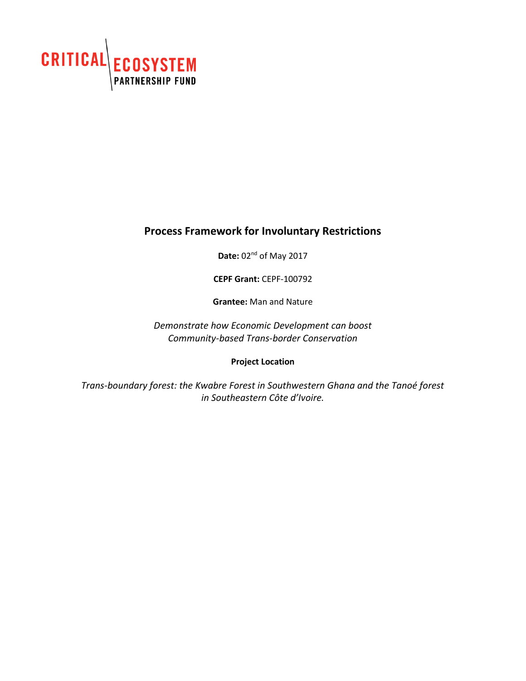

# **Process Framework for Involuntary Restrictions**

**Date:** 02nd of May 2017

**CEPF Grant:** CEPF-100792

**Grantee:** Man and Nature

*Demonstrate how Economic Development can boost Community-based Trans-border Conservation*

**Project Location**

*Trans-boundary forest: the Kwabre Forest in Southwestern Ghana and the Tanoé forest in Southeastern Côte d'Ivoire.*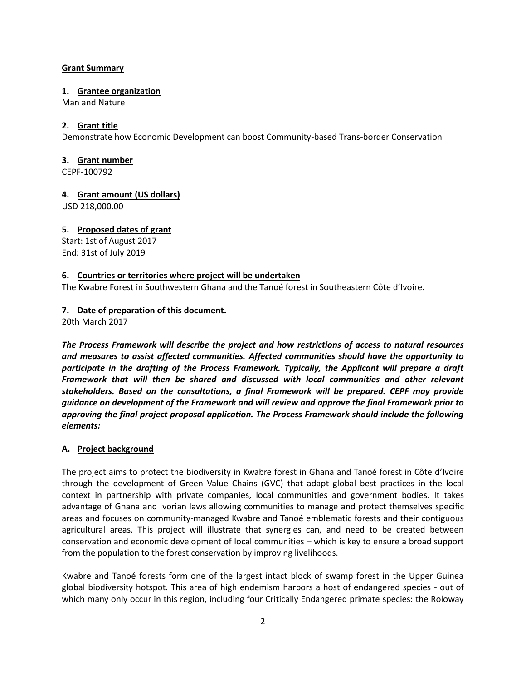### **Grant Summary**

### **1. Grantee organization**

Man and Nature

# **2. Grant title**

Demonstrate how Economic Development can boost Community-based Trans-border Conservation

### **3. Grant number**

CEPF-100792

**4. Grant amount (US dollars)**

USD 218,000.00

# **5. Proposed dates of grant**

Start: 1st of August 2017 End: 31st of July 2019

# **6. Countries or territories where project will be undertaken**

The Kwabre Forest in Southwestern Ghana and the Tanoé forest in Southeastern Côte d'Ivoire.

# **7. Date of preparation of this document.**

20th March 2017

*The Process Framework will describe the project and how restrictions of access to natural resources and measures to assist affected communities. Affected communities should have the opportunity to participate in the drafting of the Process Framework. Typically, the Applicant will prepare a draft Framework that will then be shared and discussed with local communities and other relevant stakeholders. Based on the consultations, a final Framework will be prepared. CEPF may provide guidance on development of the Framework and will review and approve the final Framework prior to approving the final project proposal application. The Process Framework should include the following elements:* 

# **A. Project background**

The project aims to protect the biodiversity in Kwabre forest in Ghana and Tanoé forest in Côte d'Ivoire through the development of Green Value Chains (GVC) that adapt global best practices in the local context in partnership with private companies, local communities and government bodies. It takes advantage of Ghana and Ivorian laws allowing communities to manage and protect themselves specific areas and focuses on community-managed Kwabre and Tanoé emblematic forests and their contiguous agricultural areas. This project will illustrate that synergies can, and need to be created between conservation and economic development of local communities – which is key to ensure a broad support from the population to the forest conservation by improving livelihoods.

Kwabre and Tanoé forests form one of the largest intact block of swamp forest in the Upper Guinea global biodiversity hotspot. This area of high endemism harbors a host of endangered species - out of which many only occur in this region, including four Critically Endangered primate species: the Roloway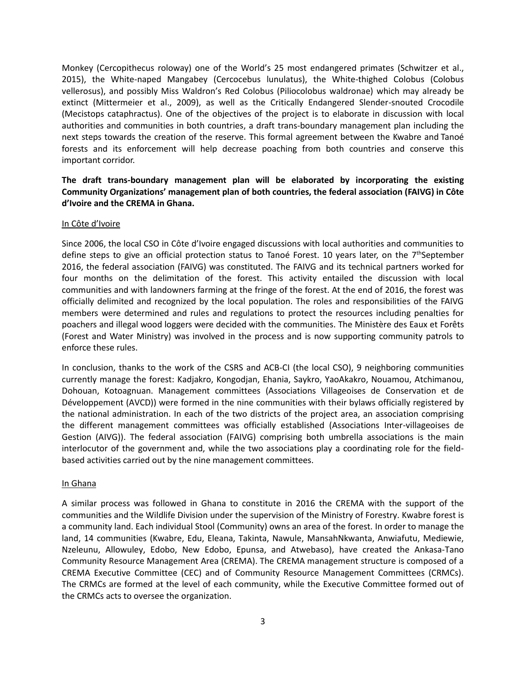Monkey (Cercopithecus roloway) one of the World's 25 most endangered primates (Schwitzer et al., 2015), the White-naped Mangabey (Cercocebus lunulatus), the White-thighed Colobus (Colobus vellerosus), and possibly Miss Waldron's Red Colobus (Piliocolobus waldronae) which may already be extinct (Mittermeier et al., 2009), as well as the Critically Endangered Slender-snouted Crocodile (Mecistops cataphractus). One of the objectives of the project is to elaborate in discussion with local authorities and communities in both countries, a draft trans-boundary management plan including the next steps towards the creation of the reserve. This formal agreement between the Kwabre and Tanoé forests and its enforcement will help decrease poaching from both countries and conserve this important corridor.

# **The draft trans-boundary management plan will be elaborated by incorporating the existing Community Organizations' management plan of both countries, the federal association (FAIVG) in Côte d'Ivoire and the CREMA in Ghana.**

#### In Côte d'Ivoire

Since 2006, the local CSO in Côte d'Ivoire engaged discussions with local authorities and communities to define steps to give an official protection status to Tanoé Forest. 10 years later, on the 7<sup>th</sup>September 2016, the federal association (FAIVG) was constituted. The FAIVG and its technical partners worked for four months on the delimitation of the forest. This activity entailed the discussion with local communities and with landowners farming at the fringe of the forest. At the end of 2016, the forest was officially delimited and recognized by the local population. The roles and responsibilities of the FAIVG members were determined and rules and regulations to protect the resources including penalties for poachers and illegal wood loggers were decided with the communities. The Ministère des Eaux et Forêts (Forest and Water Ministry) was involved in the process and is now supporting community patrols to enforce these rules.

In conclusion, thanks to the work of the CSRS and ACB-CI (the local CSO), 9 neighboring communities currently manage the forest: Kadjakro, Kongodjan, Ehania, Saykro, YaoAkakro, Nouamou, Atchimanou, Dohouan, Kotoagnuan. Management committees (Associations Villageoises de Conservation et de Développement (AVCD)) were formed in the nine communities with their bylaws officially registered by the national administration. In each of the two districts of the project area, an association comprising the different management committees was officially established (Associations Inter-villageoises de Gestion (AIVG)). The federal association (FAIVG) comprising both umbrella associations is the main interlocutor of the government and, while the two associations play a coordinating role for the fieldbased activities carried out by the nine management committees.

#### In Ghana

A similar process was followed in Ghana to constitute in 2016 the CREMA with the support of the communities and the Wildlife Division under the supervision of the Ministry of Forestry. Kwabre forest is a community land. Each individual Stool (Community) owns an area of the forest. In order to manage the land, 14 communities (Kwabre, Edu, Eleana, Takinta, Nawule, MansahNkwanta, Anwiafutu, Mediewie, Nzeleunu, Allowuley, Edobo, New Edobo, Epunsa, and Atwebaso), have created the Ankasa-Tano Community Resource Management Area (CREMA). The CREMA management structure is composed of a CREMA Executive Committee (CEC) and of Community Resource Management Committees (CRMCs). The CRMCs are formed at the level of each community, while the Executive Committee formed out of the CRMCs acts to oversee the organization.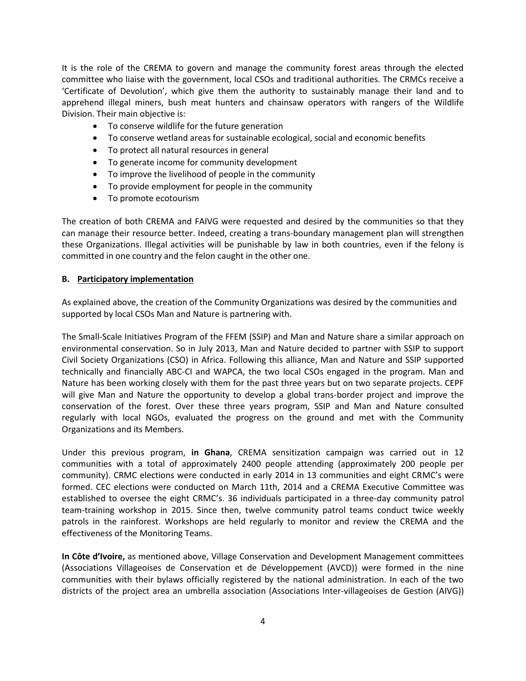It is the role of the CREMA to govern and manage the community forest areas through the elected committee who liaise with the government, local CSOs and traditional authorities. The CRMCs receive a 'Certificate of Devolution', which give them the authority to sustainably manage their land and to apprehend illegal miners, bush meat hunters and chainsaw operators with rangers of the Wildlife Division. Their main objective is:

- To conserve wildlife for the future generation
- To conserve wetland areas for sustainable ecological, social and economic benefits
- To protect all natural resources in general
- To generate income for community development
- To improve the livelihood of people in the community
- To provide employment for people in the community
- To promote ecotourism

The creation of both CREMA and FAIVG were requested and desired by the communities so that they can manage their resource better. Indeed, creating a trans-boundary management plan will strengthen these Organizations. Illegal activities will be punishable by law in both countries, even if the felony is committed in one country and the felon caught in the other one.

#### **B. Participatory implementation**

As explained above, the creation of the Community Organizations was desired by the communities and supported by local CSOs Man and Nature is partnering with.

The Small-Scale Initiatives Program of the FFEM (SSIP) and Man and Nature share a similar approach on environmental conservation. So in July 2013, Man and Nature decided to partner with SSIP to support Civil Society Organizations (CSO) in Africa. Following this alliance, Man and Nature and SSIP supported technically and financially ABC-CI and WAPCA, the two local CSOs engaged in the program. Man and Nature has been working closely with them for the past three years but on two separate projects. CEPF will give Man and Nature the opportunity to develop a global trans-border project and improve the conservation of the forest. Over these three years program, SSIP and Man and Nature consulted regularly with local NGOs, evaluated the progress on the ground and met with the Community Organizations and its Members.

Under this previous program, **in Ghana**, CREMA sensitization campaign was carried out in 12 communities with a total of approximately 2400 people attending (approximately 200 people per community). CRMC elections were conducted in early 2014 in 13 communities and eight CRMC's were formed. CEC elections were conducted on March 11th, 2014 and a CREMA Executive Committee was established to oversee the eight CRMC's. 36 individuals participated in a three-day community patrol team-training workshop in 2015. Since then, twelve community patrol teams conduct twice weekly patrols in the rainforest. Workshops are held regularly to monitor and review the CREMA and the effectiveness of the Monitoring Teams.

**In Côte d'Ivoire,** as mentioned above, Village Conservation and Development Management committees (Associations Villageoises de Conservation et de Développement (AVCD)) were formed in the nine communities with their bylaws officially registered by the national administration. In each of the two districts of the project area an umbrella association (Associations Inter-villageoises de Gestion (AIVG))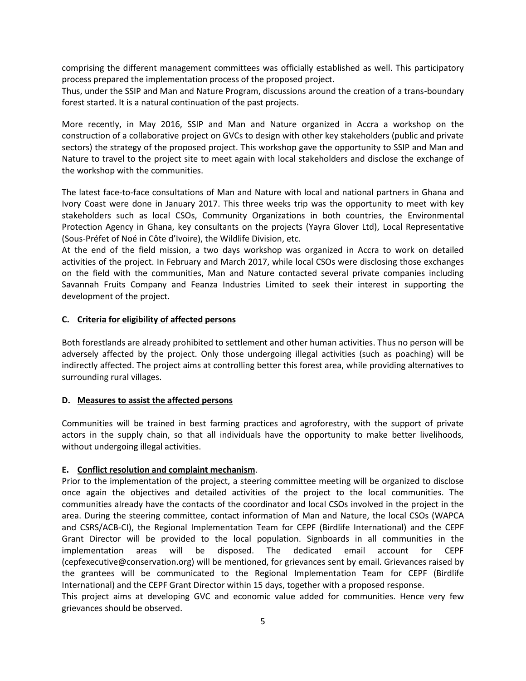comprising the different management committees was officially established as well. This participatory process prepared the implementation process of the proposed project.

Thus, under the SSIP and Man and Nature Program, discussions around the creation of a trans-boundary forest started. It is a natural continuation of the past projects.

More recently, in May 2016, SSIP and Man and Nature organized in Accra a workshop on the construction of a collaborative project on GVCs to design with other key stakeholders (public and private sectors) the strategy of the proposed project. This workshop gave the opportunity to SSIP and Man and Nature to travel to the project site to meet again with local stakeholders and disclose the exchange of the workshop with the communities.

The latest face-to-face consultations of Man and Nature with local and national partners in Ghana and Ivory Coast were done in January 2017. This three weeks trip was the opportunity to meet with key stakeholders such as local CSOs, Community Organizations in both countries, the Environmental Protection Agency in Ghana, key consultants on the projects (Yayra Glover Ltd), Local Representative (Sous-Préfet of Noé in Côte d'Ivoire), the Wildlife Division, etc.

At the end of the field mission, a two days workshop was organized in Accra to work on detailed activities of the project. In February and March 2017, while local CSOs were disclosing those exchanges on the field with the communities, Man and Nature contacted several private companies including Savannah Fruits Company and Feanza Industries Limited to seek their interest in supporting the development of the project.

# **C. Criteria for eligibility of affected persons**

Both forestlands are already prohibited to settlement and other human activities. Thus no person will be adversely affected by the project. Only those undergoing illegal activities (such as poaching) will be indirectly affected. The project aims at controlling better this forest area, while providing alternatives to surrounding rural villages.

# **D. Measures to assist the affected persons**

Communities will be trained in best farming practices and agroforestry, with the support of private actors in the supply chain, so that all individuals have the opportunity to make better livelihoods, without undergoing illegal activities.

# **E. Conflict resolution and complaint mechanism**.

Prior to the implementation of the project, a steering committee meeting will be organized to disclose once again the objectives and detailed activities of the project to the local communities. The communities already have the contacts of the coordinator and local CSOs involved in the project in the area. During the steering committee, contact information of Man and Nature, the local CSOs (WAPCA and CSRS/ACB-CI), the Regional Implementation Team for CEPF (Birdlife International) and the CEPF Grant Director will be provided to the local population. Signboards in all communities in the implementation areas will be disposed. The dedicated email account for CEPF [\(cepfexecutive@conservation.org\)](mailto:cepfexecutive@conservation.org) will be mentioned, for grievances sent by email. Grievances raised by the grantees will be communicated to the Regional Implementation Team for CEPF (Birdlife International) and the CEPF Grant Director within 15 days, together with a proposed response.

This project aims at developing GVC and economic value added for communities. Hence very few grievances should be observed.